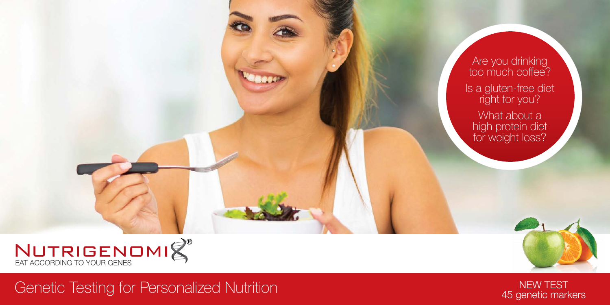

Genetic Testing for Personalized Nutrition New Test Nutrition New Test



Are you drinking too much coffee? Is a gluten-free diet right for you? What about a

high protein diet for weight loss?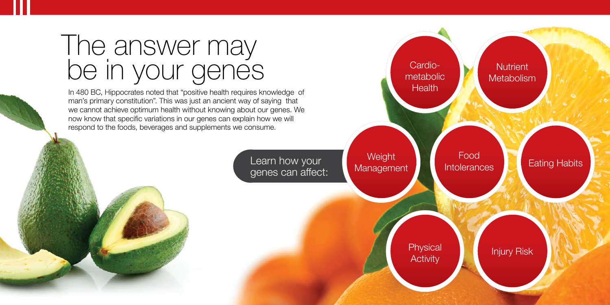## The answer may be in your genes

In 480 BC, Hippocrates noted that "positive health requires knowledge of man's primary constitution". This was just an ancient way of saying that we cannot achieve optimum health without knowing about our genes. We now know that specific variations in our genes can explain how we will respond to the foods, beverages and supplements we consume.